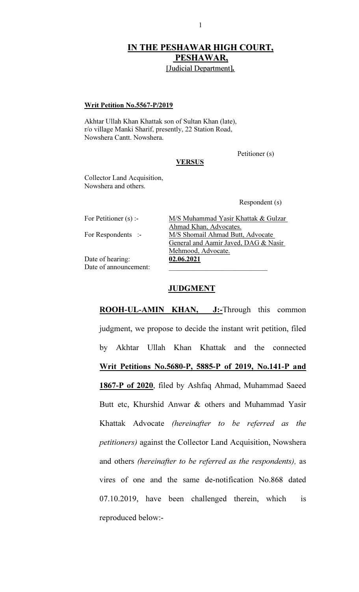# IN THE PESHAWAR HIGH COURT, PESHAWAR,

[Judicial Department].

#### Writ Petition No.5567-P/2019

Akhtar Ullah Khan Khattak son of Sultan Khan (late), r/o village Manki Sharif, presently, 22 Station Road, Nowshera Cantt. Nowshera.

Petitioner (s)

# **VERSUS**

Collector Land Acquisition, Nowshera and others.

Respondent (s)

| For Petitioner (s) :- | M/S Muhammad Yasir Khattak & Gulzar  |
|-----------------------|--------------------------------------|
|                       | Ahmad Khan, Advocates.               |
| For Respondents :-    | M/S Shomail Ahmad Butt, Advocate     |
|                       | General and Aamir Javed, DAG & Nasir |
|                       | Mehmood, Advocate.                   |
| Date of hearing:      | 02.06.2021                           |
| Date of announcement: |                                      |

# **JUDGMENT**

ROOH-UL-AMIN KHAN, J:-Through this common judgment, we propose to decide the instant writ petition, filed by Akhtar Ullah Khan Khattak and the connected Writ Petitions No.5680-P, 5885-P of 2019, No.141-P and 1867-P of 2020, filed by Ashfaq Ahmad, Muhammad Saeed Butt etc, Khurshid Anwar & others and Muhammad Yasir Khattak Advocate (hereinafter to be referred as the petitioners) against the Collector Land Acquisition, Nowshera and others (hereinafter to be referred as the respondents), as vires of one and the same de-notification No.868 dated 07.10.2019, have been challenged therein, which is reproduced below:-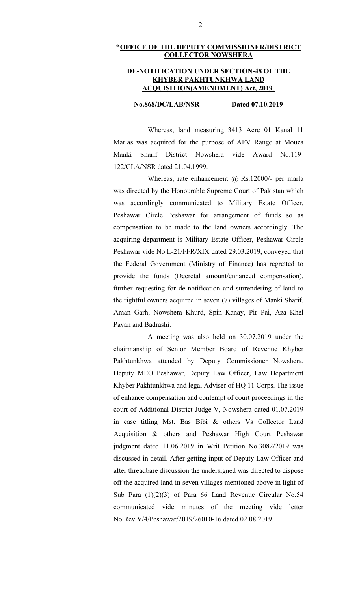# "OFFICE OF THE DEPUTY COMMISSIONER/DISTRICT COLLECTOR NOWSHERA

#### DE-NOTIFICATION UNDER SECTION-48 OF THE KHYBER PAKHTUNKHWA LAND ACQUISITION(AMENDMENT) Act, 2019.

#### No.868/DC/LAB/NSR Dated 07.10.2019

 Whereas, land measuring 3413 Acre 01 Kanal 11 Marlas was acquired for the purpose of AFV Range at Mouza Manki Sharif District Nowshera vide Award No.119- 122/CLA/NSR dated 21.04.1999.

Whereas, rate enhancement @ Rs.12000/- per marla was directed by the Honourable Supreme Court of Pakistan which was accordingly communicated to Military Estate Officer, Peshawar Circle Peshawar for arrangement of funds so as compensation to be made to the land owners accordingly. The acquiring department is Military Estate Officer, Peshawar Circle Peshawar vide No.L-21/FFR/XIX dated 29.03.2019, conveyed that the Federal Government (Ministry of Finance) has regretted to provide the funds (Decretal amount/enhanced compensation), further requesting for de-notification and surrendering of land to the rightful owners acquired in seven (7) villages of Manki Sharif, Aman Garh, Nowshera Khurd, Spin Kanay, Pir Pai, Aza Khel Payan and Badrashi.

 A meeting was also held on 30.07.2019 under the chairmanship of Senior Member Board of Revenue Khyber Pakhtunkhwa attended by Deputy Commissioner Nowshera. Deputy MEO Peshawar, Deputy Law Officer, Law Department Khyber Pakhtunkhwa and legal Adviser of HQ 11 Corps. The issue of enhance compensation and contempt of court proceedings in the court of Additional District Judge-V, Nowshera dated 01.07.2019 in case titling Mst. Bas Bibi & others Vs Collector Land Acquisition & others and Peshawar High Court Peshawar judgment dated 11.06.2019 in Writ Petition No.3082/2019 was discussed in detail. After getting input of Deputy Law Officer and after threadbare discussion the undersigned was directed to dispose off the acquired land in seven villages mentioned above in light of Sub Para (1)(2)(3) of Para 66 Land Revenue Circular No.54 communicated vide minutes of the meeting vide letter No.Rev.V/4/Peshawar/2019/26010-16 dated 02.08.2019.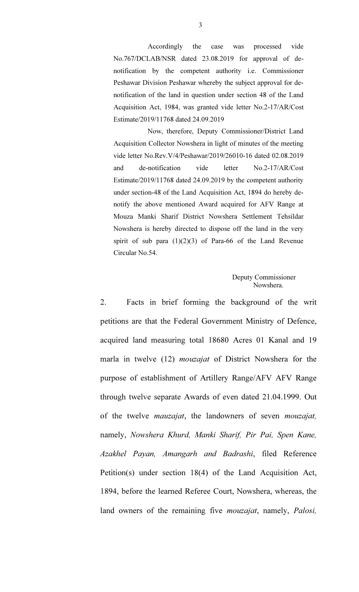Accordingly the case was processed vide No.767/DCLAB/NSR dated 23.08.2019 for approval of denotification by the competent authority i.e. Commissioner Peshawar Division Peshawar whereby the subject approval for denotification of the land in question under section 48 of the Land Acquisition Act, 1984, was granted vide letter No.2-17/AR/Cost Estimate/2019/11768 dated 24.09.2019

 Now, therefore, Deputy Commissioner/District Land Acquisition Collector Nowshera in light of minutes of the meeting vide letter No.Rev.V/4/Peshawar/2019/26010-16 dated 02.08.2019 and de-notification vide letter No.2-17/AR/Cost Estimate/2019/11768 dated 24.09.2019 by the competent authority under section-48 of the Land Acquisition Act, 1894 do hereby denotify the above mentioned Award acquired for AFV Range at Mouza Manki Sharif District Nowshera Settlement Tehsildar Nowshera is hereby directed to dispose off the land in the very spirit of sub para  $(1)(2)(3)$  of Para-66 of the Land Revenue Circular No.54.

## Deputy Commissioner Nowshera.

2. Facts in brief forming the background of the writ petitions are that the Federal Government Ministry of Defence, acquired land measuring total 18680 Acres 01 Kanal and 19 marla in twelve (12) *mouzajat* of District Nowshera for the purpose of establishment of Artillery Range/AFV AFV Range through twelve separate Awards of even dated 21.04.1999. Out of the twelve mauzajat, the landowners of seven mouzajat, namely, Nowshera Khurd, Manki Sharif, Pir Pai, Spen Kane, Azakhel Payan, Amangarh and Badrashi, filed Reference Petition(s) under section 18(4) of the Land Acquisition Act, 1894, before the learned Referee Court, Nowshera, whereas, the land owners of the remaining five *mouzajat*, namely, Palosi,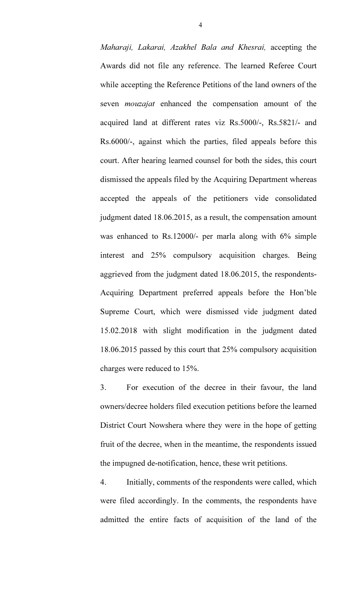Maharaji, Lakarai, Azakhel Bala and Khesrai, accepting the Awards did not file any reference. The learned Referee Court while accepting the Reference Petitions of the land owners of the seven *mouzajat* enhanced the compensation amount of the acquired land at different rates viz Rs.5000/-, Rs.5821/- and Rs.6000/-, against which the parties, filed appeals before this court. After hearing learned counsel for both the sides, this court dismissed the appeals filed by the Acquiring Department whereas accepted the appeals of the petitioners vide consolidated judgment dated 18.06.2015, as a result, the compensation amount was enhanced to Rs.12000/- per marla along with 6% simple interest and 25% compulsory acquisition charges. Being aggrieved from the judgment dated 18.06.2015, the respondents-Acquiring Department preferred appeals before the Hon'ble Supreme Court, which were dismissed vide judgment dated 15.02.2018 with slight modification in the judgment dated 18.06.2015 passed by this court that 25% compulsory acquisition charges were reduced to 15%.

3. For execution of the decree in their favour, the land owners/decree holders filed execution petitions before the learned District Court Nowshera where they were in the hope of getting fruit of the decree, when in the meantime, the respondents issued the impugned de-notification, hence, these writ petitions.

4. Initially, comments of the respondents were called, which were filed accordingly. In the comments, the respondents have admitted the entire facts of acquisition of the land of the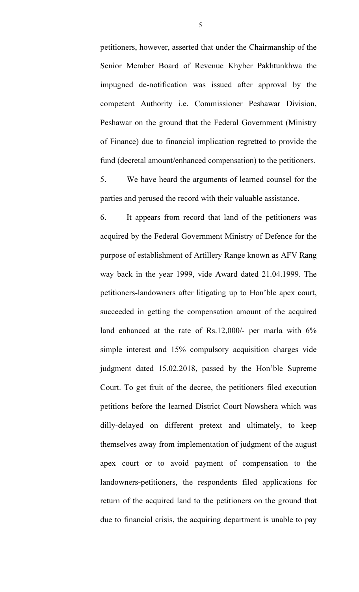petitioners, however, asserted that under the Chairmanship of the Senior Member Board of Revenue Khyber Pakhtunkhwa the impugned de-notification was issued after approval by the competent Authority i.e. Commissioner Peshawar Division, Peshawar on the ground that the Federal Government (Ministry of Finance) due to financial implication regretted to provide the fund (decretal amount/enhanced compensation) to the petitioners.

5. We have heard the arguments of learned counsel for the parties and perused the record with their valuable assistance.

6. It appears from record that land of the petitioners was acquired by the Federal Government Ministry of Defence for the purpose of establishment of Artillery Range known as AFV Rang way back in the year 1999, vide Award dated 21.04.1999. The petitioners-landowners after litigating up to Hon'ble apex court, succeeded in getting the compensation amount of the acquired land enhanced at the rate of Rs.12,000/- per marla with 6% simple interest and 15% compulsory acquisition charges vide judgment dated 15.02.2018, passed by the Hon'ble Supreme Court. To get fruit of the decree, the petitioners filed execution petitions before the learned District Court Nowshera which was dilly-delayed on different pretext and ultimately, to keep themselves away from implementation of judgment of the august apex court or to avoid payment of compensation to the landowners-petitioners, the respondents filed applications for return of the acquired land to the petitioners on the ground that due to financial crisis, the acquiring department is unable to pay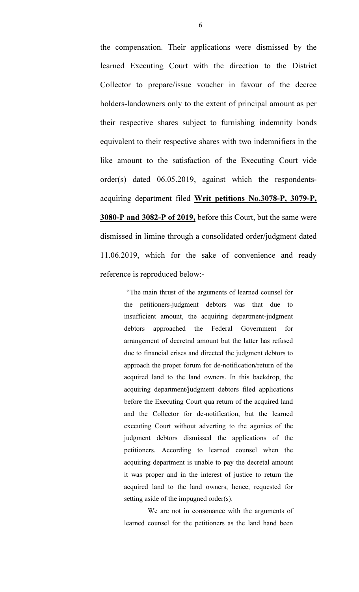the compensation. Their applications were dismissed by the learned Executing Court with the direction to the District Collector to prepare/issue voucher in favour of the decree holders-landowners only to the extent of principal amount as per their respective shares subject to furnishing indemnity bonds equivalent to their respective shares with two indemnifiers in the like amount to the satisfaction of the Executing Court vide order(s) dated 06.05.2019, against which the respondentsacquiring department filed Writ petitions No.3078-P, 3079-P, 3080-P and 3082-P of 2019, before this Court, but the same were dismissed in limine through a consolidated order/judgment dated 11.06.2019, which for the sake of convenience and ready reference is reproduced below:-

> "The main thrust of the arguments of learned counsel for the petitioners-judgment debtors was that due to insufficient amount, the acquiring department-judgment debtors approached the Federal Government for arrangement of decretral amount but the latter has refused due to financial crises and directed the judgment debtors to approach the proper forum for de-notification/return of the acquired land to the land owners. In this backdrop, the acquiring department/judgment debtors filed applications before the Executing Court qua return of the acquired land and the Collector for de-notification, but the learned executing Court without adverting to the agonies of the judgment debtors dismissed the applications of the petitioners. According to learned counsel when the acquiring department is unable to pay the decretal amount it was proper and in the interest of justice to return the acquired land to the land owners, hence, requested for setting aside of the impugned order(s).

> We are not in consonance with the arguments of learned counsel for the petitioners as the land hand been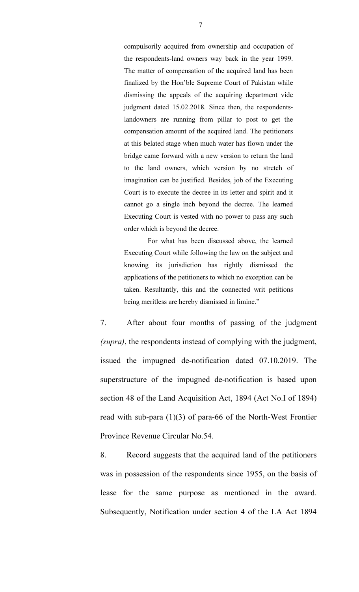compulsorily acquired from ownership and occupation of the respondents-land owners way back in the year 1999. The matter of compensation of the acquired land has been finalized by the Hon'ble Supreme Court of Pakistan while dismissing the appeals of the acquiring department vide judgment dated 15.02.2018. Since then, the respondentslandowners are running from pillar to post to get the compensation amount of the acquired land. The petitioners at this belated stage when much water has flown under the bridge came forward with a new version to return the land to the land owners, which version by no stretch of imagination can be justified. Besides, job of the Executing Court is to execute the decree in its letter and spirit and it cannot go a single inch beyond the decree. The learned Executing Court is vested with no power to pass any such order which is beyond the decree.

 For what has been discussed above, the learned Executing Court while following the law on the subject and knowing its jurisdiction has rightly dismissed the applications of the petitioners to which no exception can be taken. Resultantly, this and the connected writ petitions being meritless are hereby dismissed in limine."

7. After about four months of passing of the judgment (supra), the respondents instead of complying with the judgment, issued the impugned de-notification dated 07.10.2019. The superstructure of the impugned de-notification is based upon section 48 of the Land Acquisition Act, 1894 (Act No.I of 1894) read with sub-para (1)(3) of para-66 of the North-West Frontier Province Revenue Circular No.54.

8. Record suggests that the acquired land of the petitioners was in possession of the respondents since 1955, on the basis of lease for the same purpose as mentioned in the award. Subsequently, Notification under section 4 of the LA Act 1894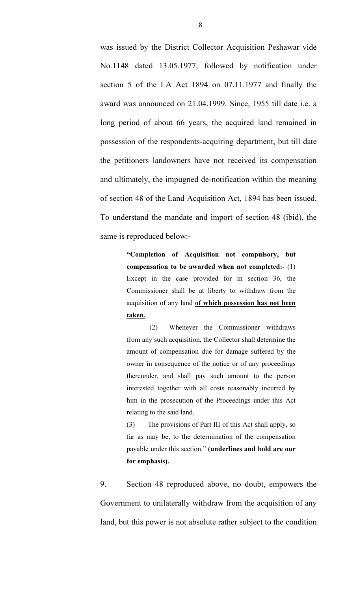was issued by the District Collector Acquisition Peshawar vide No.1148 dated 13.05.1977, followed by notification under section 5 of the LA Act 1894 on 07.11.1977 and finally the award was announced on 21.04.1999. Since, 1955 till date i.e. a long period of about 66 years, the acquired land remained in possession of the respondents-acquiring department, but till date the petitioners landowners have not received its compensation and ultimately, the impugned de-notification within the meaning of section 48 of the Land Acquisition Act, 1894 has been issued. To understand the mandate and import of section 48 (ibid), the same is reproduced below:-

> "Completion of Acquisition not compulsory, but compensation to be awarded when not completed:- (1) Except in the case provided for in section 36, the Commissioner shall be at liberty to withdraw from the acquisition of any land of which possession has not been taken.

> (2) Whenever the Commissioner withdraws from any such acquisition, the Collector shall determine the amount of compensation due for damage suffered by the owner in consequence of the notice or of any proceedings thereunder, and shall pay such amount to the person interested together with all costs reasonably incurred by him in the prosecution of the Proceedings under this Act relating to the said land.

> (3) The provisions of Part III of this Act shall apply, so far as may be, to the determination of the compensation payable under this section." (underlines and bold are our for emphasis).

9. Section 48 reproduced above, no doubt, empowers the Government to unilaterally withdraw from the acquisition of any land, but this power is not absolute rather subject to the condition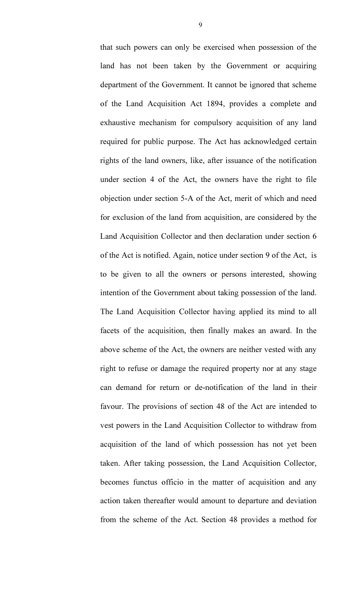that such powers can only be exercised when possession of the land has not been taken by the Government or acquiring department of the Government. It cannot be ignored that scheme of the Land Acquisition Act 1894, provides a complete and exhaustive mechanism for compulsory acquisition of any land required for public purpose. The Act has acknowledged certain rights of the land owners, like, after issuance of the notification under section 4 of the Act, the owners have the right to file objection under section 5-A of the Act, merit of which and need for exclusion of the land from acquisition, are considered by the Land Acquisition Collector and then declaration under section 6 of the Act is notified. Again, notice under section 9 of the Act, is to be given to all the owners or persons interested, showing intention of the Government about taking possession of the land. The Land Acquisition Collector having applied its mind to all facets of the acquisition, then finally makes an award. In the above scheme of the Act, the owners are neither vested with any right to refuse or damage the required property nor at any stage can demand for return or de-notification of the land in their favour. The provisions of section 48 of the Act are intended to vest powers in the Land Acquisition Collector to withdraw from acquisition of the land of which possession has not yet been taken. After taking possession, the Land Acquisition Collector, becomes functus officio in the matter of acquisition and any action taken thereafter would amount to departure and deviation from the scheme of the Act. Section 48 provides a method for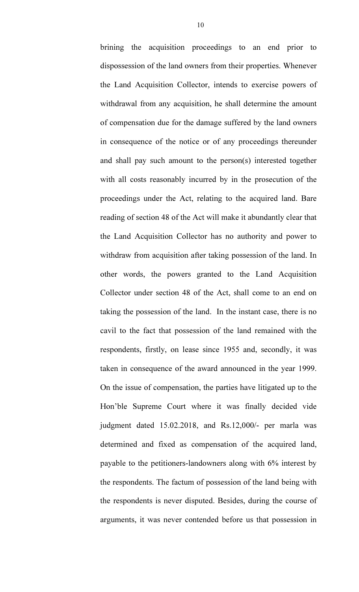brining the acquisition proceedings to an end prior to dispossession of the land owners from their properties. Whenever the Land Acquisition Collector, intends to exercise powers of withdrawal from any acquisition, he shall determine the amount of compensation due for the damage suffered by the land owners in consequence of the notice or of any proceedings thereunder and shall pay such amount to the person(s) interested together with all costs reasonably incurred by in the prosecution of the proceedings under the Act, relating to the acquired land. Bare reading of section 48 of the Act will make it abundantly clear that the Land Acquisition Collector has no authority and power to withdraw from acquisition after taking possession of the land. In other words, the powers granted to the Land Acquisition Collector under section 48 of the Act, shall come to an end on taking the possession of the land. In the instant case, there is no cavil to the fact that possession of the land remained with the respondents, firstly, on lease since 1955 and, secondly, it was taken in consequence of the award announced in the year 1999. On the issue of compensation, the parties have litigated up to the Hon'ble Supreme Court where it was finally decided vide judgment dated 15.02.2018, and Rs.12,000/- per marla was determined and fixed as compensation of the acquired land, payable to the petitioners-landowners along with 6% interest by the respondents. The factum of possession of the land being with the respondents is never disputed. Besides, during the course of arguments, it was never contended before us that possession in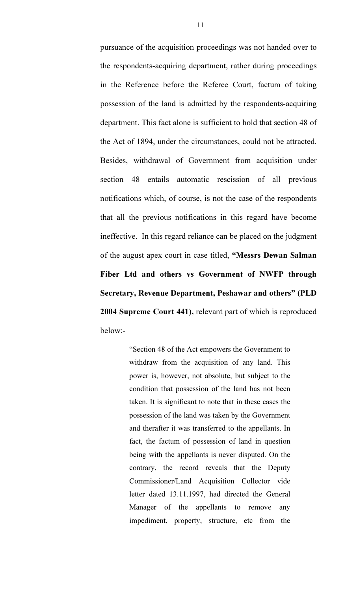pursuance of the acquisition proceedings was not handed over to the respondents-acquiring department, rather during proceedings in the Reference before the Referee Court, factum of taking possession of the land is admitted by the respondents-acquiring department. This fact alone is sufficient to hold that section 48 of the Act of 1894, under the circumstances, could not be attracted. Besides, withdrawal of Government from acquisition under section 48 entails automatic rescission of all previous notifications which, of course, is not the case of the respondents that all the previous notifications in this regard have become ineffective. In this regard reliance can be placed on the judgment of the august apex court in case titled, "Messrs Dewan Salman Fiber Ltd and others vs Government of NWFP through Secretary, Revenue Department, Peshawar and others" (PLD 2004 Supreme Court 441), relevant part of which is reproduced below:-

> "Section 48 of the Act empowers the Government to withdraw from the acquisition of any land. This power is, however, not absolute, but subject to the condition that possession of the land has not been taken. It is significant to note that in these cases the possession of the land was taken by the Government and therafter it was transferred to the appellants. In fact, the factum of possession of land in question being with the appellants is never disputed. On the contrary, the record reveals that the Deputy Commissioner/Land Acquisition Collector vide letter dated 13.11.1997, had directed the General Manager of the appellants to remove any impediment, property, structure, etc from the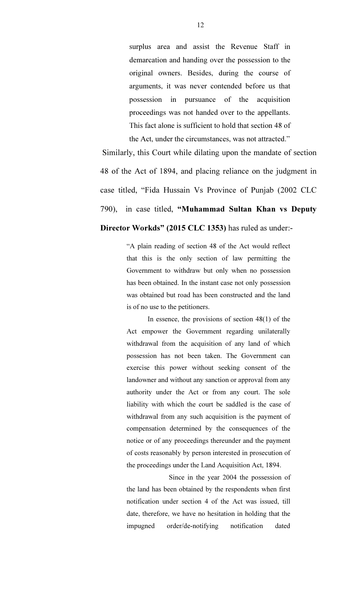surplus area and assist the Revenue Staff in demarcation and handing over the possession to the original owners. Besides, during the course of arguments, it was never contended before us that possession in pursuance of the acquisition proceedings was not handed over to the appellants. This fact alone is sufficient to hold that section 48 of the Act, under the circumstances, was not attracted."

Similarly, this Court while dilating upon the mandate of section 48 of the Act of 1894, and placing reliance on the judgment in case titled, "Fida Hussain Vs Province of Punjab (2002 CLC 790), in case titled, "Muhammad Sultan Khan vs Deputy

# Director Workds" (2015 CLC 1353) has ruled as under:-

"A plain reading of section 48 of the Act would reflect that this is the only section of law permitting the Government to withdraw but only when no possession has been obtained. In the instant case not only possession was obtained but road has been constructed and the land is of no use to the petitioners.

In essence, the provisions of section  $48(1)$  of the Act empower the Government regarding unilaterally withdrawal from the acquisition of any land of which possession has not been taken. The Government can exercise this power without seeking consent of the landowner and without any sanction or approval from any authority under the Act or from any court. The sole liability with which the court be saddled is the case of withdrawal from any such acquisition is the payment of compensation determined by the consequences of the notice or of any proceedings thereunder and the payment of costs reasonably by person interested in prosecution of the proceedings under the Land Acquisition Act, 1894.

 Since in the year 2004 the possession of the land has been obtained by the respondents when first notification under section 4 of the Act was issued, till date, therefore, we have no hesitation in holding that the impugned order/de-notifying notification dated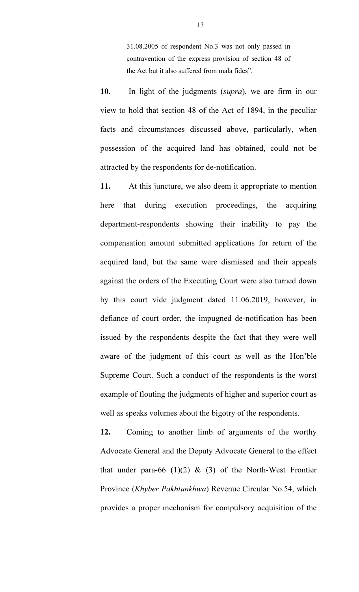31.08.2005 of respondent No.3 was not only passed in contravention of the express provision of section 48 of the Act but it also suffered from mala fides".

10. In light of the judgments (supra), we are firm in our view to hold that section 48 of the Act of 1894, in the peculiar facts and circumstances discussed above, particularly, when possession of the acquired land has obtained, could not be attracted by the respondents for de-notification.

11. At this juncture, we also deem it appropriate to mention here that during execution proceedings, the acquiring department-respondents showing their inability to pay the compensation amount submitted applications for return of the acquired land, but the same were dismissed and their appeals against the orders of the Executing Court were also turned down by this court vide judgment dated 11.06.2019, however, in defiance of court order, the impugned de-notification has been issued by the respondents despite the fact that they were well aware of the judgment of this court as well as the Hon'ble Supreme Court. Such a conduct of the respondents is the worst example of flouting the judgments of higher and superior court as well as speaks volumes about the bigotry of the respondents.

12. Coming to another limb of arguments of the worthy Advocate General and the Deputy Advocate General to the effect that under para-66 (1)(2)  $\&$  (3) of the North-West Frontier Province (Khyber Pakhtunkhwa) Revenue Circular No.54, which provides a proper mechanism for compulsory acquisition of the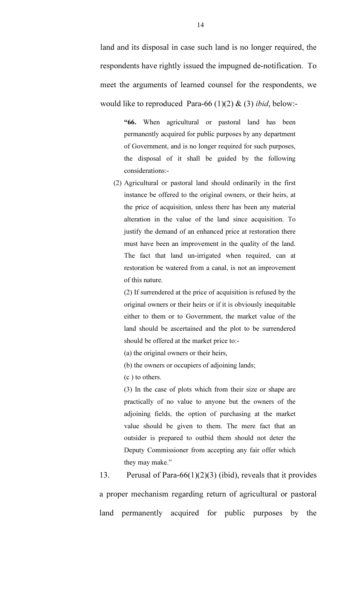land and its disposal in case such land is no longer required, the respondents have rightly issued the impugned de-notification. To meet the arguments of learned counsel for the respondents, we would like to reproduced Para-66 (1)(2)  $\&$  (3) ibid, below:-

> "66. When agricultural or pastoral land has been permanently acquired for public purposes by any department of Government, and is no longer required for such purposes, the disposal of it shall be guided by the following considerations:-

(2) Agricultural or pastoral land should ordinarily in the first instance be offered to the original owners, or their heirs, at the price of acquisition, unless there has been any material alteration in the value of the land since acquisition. To justify the demand of an enhanced price at restoration there must have been an improvement in the quality of the land. The fact that land un-irrigated when required, can at restoration be watered from a canal, is not an improvement of this nature.

(2) If surrendered at the price of acquisition is refused by the original owners or their heirs or if it is obviously inequitable either to them or to Government, the market value of the land should be ascertained and the plot to be surrendered should be offered at the market price to:-

(a) the original owners or their heirs,

(b) the owners or occupiers of adjoining lands;

(c ) to others.

(3) In the case of plots which from their size or shape are practically of no value to anyone but the owners of the adjoining fields, the option of purchasing at the market value should be given to them. The mere fact that an outsider is prepared to outbid them should not deter the Deputy Commissioner from accepting any fair offer which they may make."

13. Perusal of Para-66(1)(2)(3) (ibid), reveals that it provides a proper mechanism regarding return of agricultural or pastoral land permanently acquired for public purposes by the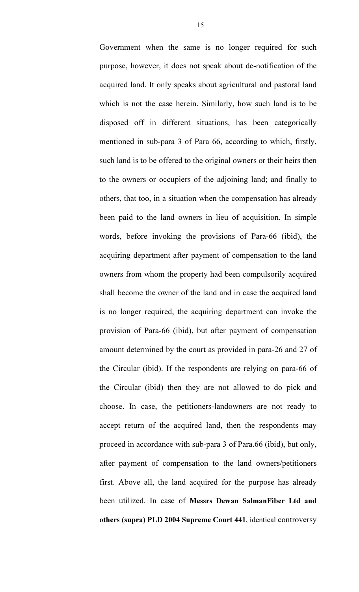Government when the same is no longer required for such purpose, however, it does not speak about de-notification of the acquired land. It only speaks about agricultural and pastoral land which is not the case herein. Similarly, how such land is to be disposed off in different situations, has been categorically mentioned in sub-para 3 of Para 66, according to which, firstly, such land is to be offered to the original owners or their heirs then to the owners or occupiers of the adjoining land; and finally to others, that too, in a situation when the compensation has already been paid to the land owners in lieu of acquisition. In simple words, before invoking the provisions of Para-66 (ibid), the acquiring department after payment of compensation to the land owners from whom the property had been compulsorily acquired shall become the owner of the land and in case the acquired land is no longer required, the acquiring department can invoke the provision of Para-66 (ibid), but after payment of compensation amount determined by the court as provided in para-26 and 27 of the Circular (ibid). If the respondents are relying on para-66 of the Circular (ibid) then they are not allowed to do pick and choose. In case, the petitioners-landowners are not ready to accept return of the acquired land, then the respondents may proceed in accordance with sub-para 3 of Para.66 (ibid), but only, after payment of compensation to the land owners/petitioners first. Above all, the land acquired for the purpose has already been utilized. In case of Messrs Dewan SalmanFiber Ltd and others (supra) PLD 2004 Supreme Court 441, identical controversy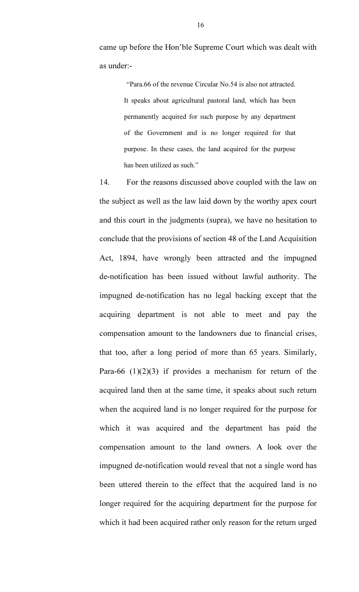came up before the Hon'ble Supreme Court which was dealt with as under:-

> "Para.66 of the revenue Circular No.54 is also not attracted. It speaks about agricultural pastoral land, which has been permanently acquired for such purpose by any department of the Government and is no longer required for that purpose. In these cases, the land acquired for the purpose has been utilized as such."

14. For the reasons discussed above coupled with the law on the subject as well as the law laid down by the worthy apex court and this court in the judgments (supra), we have no hesitation to conclude that the provisions of section 48 of the Land Acquisition Act, 1894, have wrongly been attracted and the impugned de-notification has been issued without lawful authority. The impugned de-notification has no legal backing except that the acquiring department is not able to meet and pay the compensation amount to the landowners due to financial crises, that too, after a long period of more than 65 years. Similarly, Para-66  $(1)(2)(3)$  if provides a mechanism for return of the acquired land then at the same time, it speaks about such return when the acquired land is no longer required for the purpose for which it was acquired and the department has paid the compensation amount to the land owners. A look over the impugned de-notification would reveal that not a single word has been uttered therein to the effect that the acquired land is no longer required for the acquiring department for the purpose for which it had been acquired rather only reason for the return urged